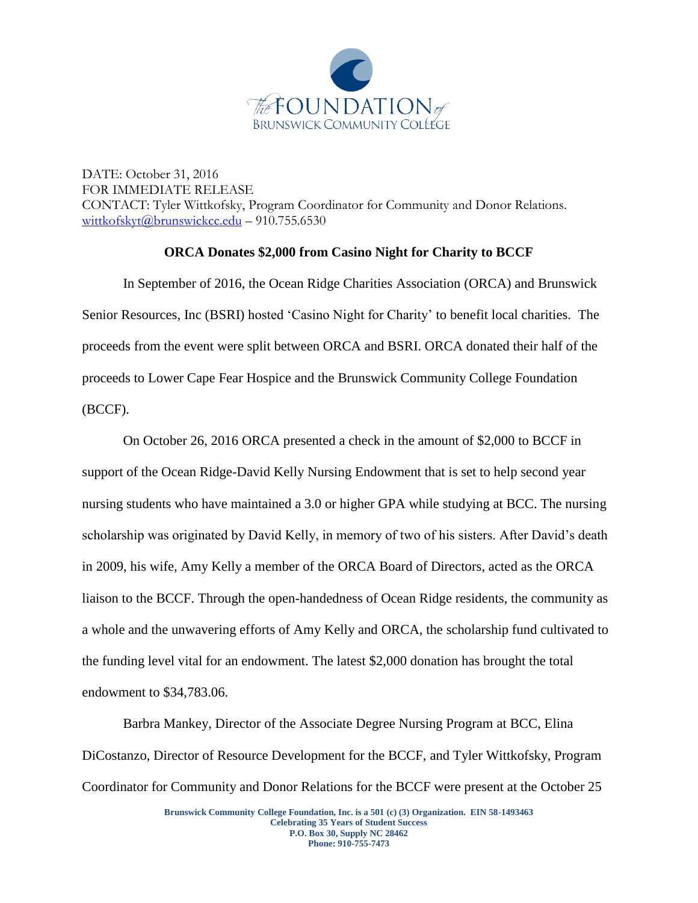

DATE: October 31, 2016 FOR IMMEDIATE RELEASE CONTACT: Tyler Wittkofsky, Program Coordinator for Community and Donor Relations. [wittkofskyt@brunswickcc.edu](mailto:wittkofskyt@brunswickcc.edu) – 910.755.6530

## **ORCA Donates \$2,000 from Casino Night for Charity to BCCF**

In September of 2016, the Ocean Ridge Charities Association (ORCA) and Brunswick Senior Resources, Inc (BSRI) hosted 'Casino Night for Charity' to benefit local charities. The proceeds from the event were split between ORCA and BSRI. ORCA donated their half of the proceeds to Lower Cape Fear Hospice and the Brunswick Community College Foundation (BCCF).

On October 26, 2016 ORCA presented a check in the amount of \$2,000 to BCCF in support of the Ocean Ridge-David Kelly Nursing Endowment that is set to help second year nursing students who have maintained a 3.0 or higher GPA while studying at BCC. The nursing scholarship was originated by David Kelly, in memory of two of his sisters. After David's death in 2009, his wife, Amy Kelly a member of the ORCA Board of Directors, acted as the ORCA liaison to the BCCF. Through the open-handedness of Ocean Ridge residents, the community as a whole and the unwavering efforts of Amy Kelly and ORCA, the scholarship fund cultivated to the funding level vital for an endowment. The latest \$2,000 donation has brought the total endowment to \$34,783.06.

Barbra Mankey, Director of the Associate Degree Nursing Program at BCC, Elina DiCostanzo, Director of Resource Development for the BCCF, and Tyler Wittkofsky, Program Coordinator for Community and Donor Relations for the BCCF were present at the October 25